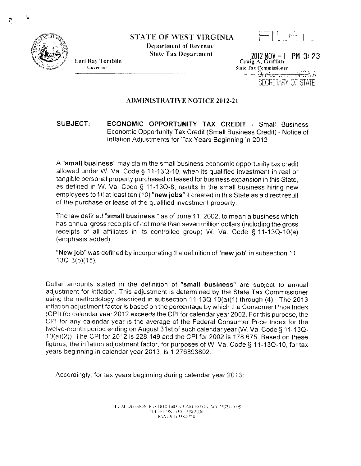

 $\leftarrow$   $\left| \cdot \right|$   $\left| \cdot \right|$ 

**Department of Revenue State Tax Department** 



2012 NOV -  $\vert$  PM 3: 23<br>Craig A. Griffith State Tax Commissioner **AIKER** <del>ੀ ਜੋ ਰੂਟ ਜਾਂ</del>ਦਾ

SECRETARY OF STATE

## **ADMINISTRATIVE NOTICE 2012-21**

## SUBJECT: **ECONOMIC OPPORTUNITY TAX CREDIT - Small Business** Economic Opportunity Tax Credit (Small Business Credit) - Notice of Inflation Adjustments for Tax Years Beginning in 2013

A "small business" may claim the small business economic opportunity tax credit allowed under W. Va. Code § 11-13Q-10, when its qualified investment in real or tangible personal property purchased or leased for business expansion in this State, as defined in W. Va. Code § 11-13Q-8, results in the small business hiring new employees to fill at least ten (10) "new jobs" it created in this State as a direct result of the purchase or lease of the qualified investment property.

The law defined "small business." as of June 11, 2002, to mean a business which has annual gross receipts of not more than seven million dollars (including the gross receipts of all affiliates in its controlled group) W. Va. Code § 11-13Q-10(a) (emphasis added).

"New job" was defined by incorporating the definition of "new job" in subsection 11- $13Q-3(b)(15)$ .

Dollar amounts stated in the definition of "small business" are subject to annual adjustment for inflation. This adjustment is determined by the State Tax Commissioner using the methodology described in subsection 11-13Q-10(a)(1) through (4). The 2013 inflation adjustment factor is based on the percentage by which the Consumer Price Index (CPI) for calendar year 2012 exceeds the CPI for calendar year 2002. For this purpose, the CPI for any calendar year is the average of the Federal Consumer Price Index for the twelve-month period ending on August 31st of such calendar year (W. Va. Code § 11-13Q-10(a)(2)) The CPI for 2012 is 228.149 and the CPI for 2002 is 178.675. Based on these figures, the inflation adjustment factor, for purposes of W. Va. Code § 11-13Q-10, for tax years beginning in calendar year 2013, is 1.276893802.

Accordingly, for tax years beginning during calendar year 2013:

11 GAI DIVISION, P.O. BOX 1005, CHARLES FON, WV 25324-1005 TELEPHONE (304) 558-5330 FAX (304) 558-8728